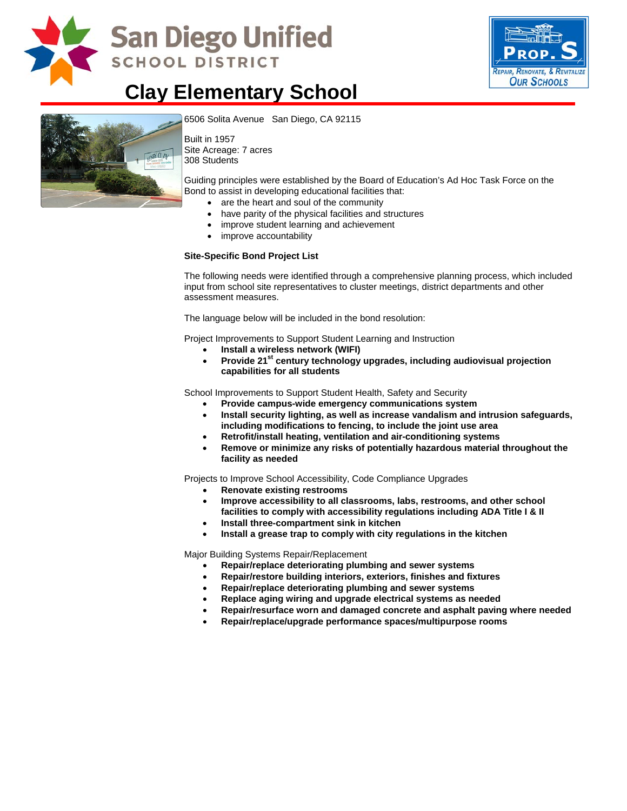

# San Diego Unified **SCHOOL DISTRICT**



## **Clay Elementary School**



[6506 Solita Avenue San Diego, CA](http://www.sandi.net/comm/schools/schlpix/clay.jpg) 92115

Built in 1957 Site Acreage: 7 acres 308 Students

Guiding principles were established by the Board of Education's Ad Hoc Task Force on the Bond to assist in developing educational facilities that:

- are the heart and soul of the community
- have parity of the physical facilities and structures
- improve student learning and achievement
- improve accountability

#### **Site-Specific Bond Project List**

The following needs were identified through a comprehensive planning process, which included input from school site representatives to cluster meetings, district departments and other assessment measures.

The language below will be included in the bond resolution:

Project Improvements to Support Student Learning and Instruction

- **Install a wireless network (WIFI)**
- Provide 21<sup>st</sup> century technology upgrades, including audiovisual projection **capabilities for all students**

School Improvements to Support Student Health, Safety and Security

- **Provide campus-wide emergency communications system**
- **Install security lighting, as well as increase vandalism and intrusion safeguards, including modifications to fencing, to include the joint use area**
- **Retrofit/install heating, ventilation and air-conditioning systems**
- **Remove or minimize any risks of potentially hazardous material throughout the facility as needed**

Projects to Improve School Accessibility, Code Compliance Upgrades

- **Renovate existing restrooms**
- **Improve accessibility to all classrooms, labs, restrooms, and other school facilities to comply with accessibility regulations including ADA Title I & II**
- **Install three-compartment sink in kitchen**
- **Install a grease trap to comply with city regulations in the kitchen**

Major Building Systems Repair/Replacement

- **Repair/replace deteriorating plumbing and sewer systems**
- **Repair/restore building interiors, exteriors, finishes and fixtures**
- **Repair/replace deteriorating plumbing and sewer systems**
- **Replace aging wiring and upgrade electrical systems as needed**
- **Repair/resurface worn and damaged concrete and asphalt paving where needed**
- **Repair/replace/upgrade performance spaces/multipurpose rooms**